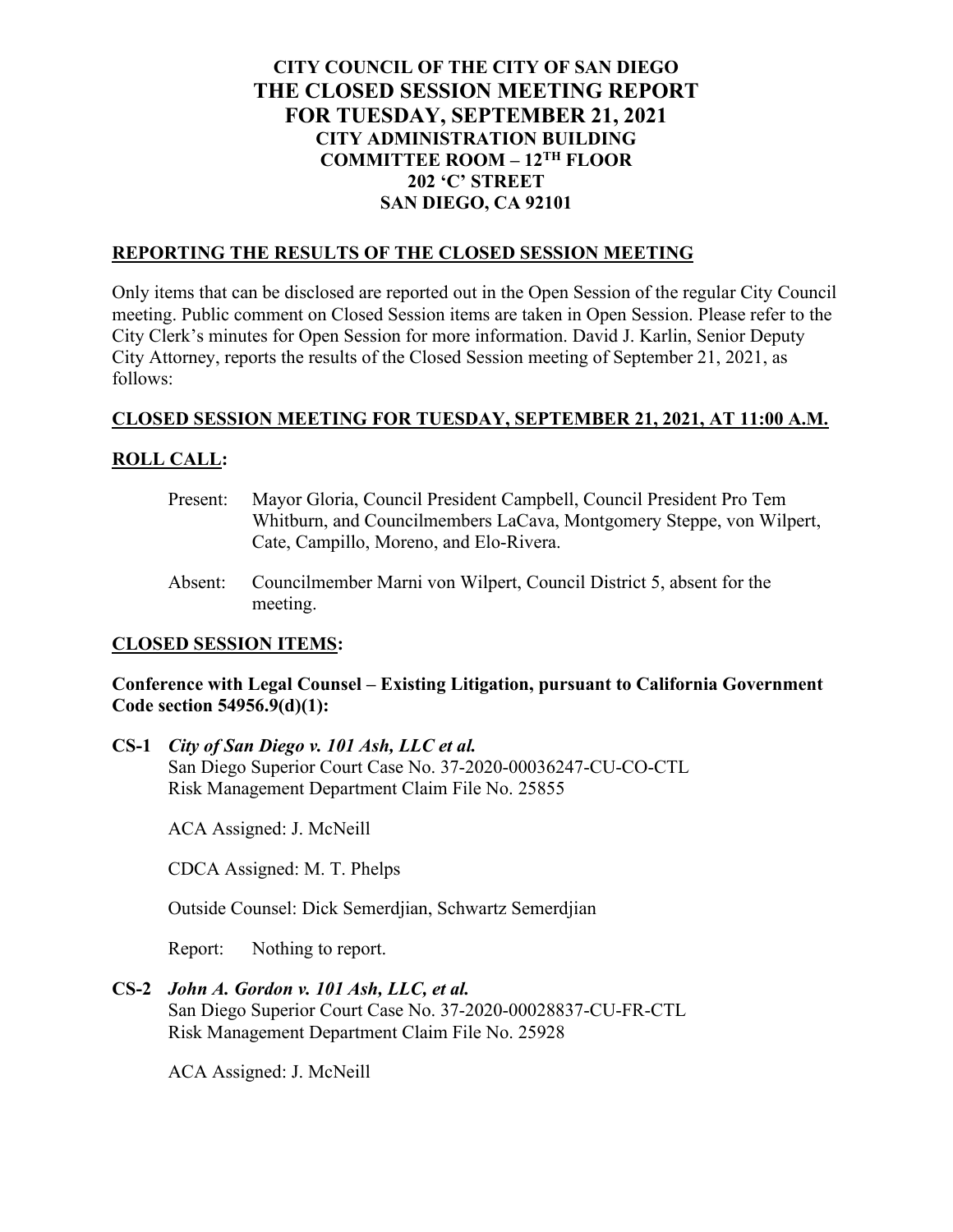# **CITY COUNCIL OF THE CITY OF SAN DIEGO THE CLOSED SESSION MEETING REPORT FOR TUESDAY, SEPTEMBER 21, 2021 CITY ADMINISTRATION BUILDING COMMITTEE ROOM – 12TH FLOOR 202 'C' STREET SAN DIEGO, CA 92101**

#### **REPORTING THE RESULTS OF THE CLOSED SESSION MEETING**

Only items that can be disclosed are reported out in the Open Session of the regular City Council meeting. Public comment on Closed Session items are taken in Open Session. Please refer to the City Clerk's minutes for Open Session for more information. David J. Karlin, Senior Deputy City Attorney, reports the results of the Closed Session meeting of September 21, 2021, as follows:

#### **CLOSED SESSION MEETING FOR TUESDAY, SEPTEMBER 21, 2021, AT 11:00 A.M.**

# **ROLL CALL:**

- Present: Mayor Gloria, Council President Campbell, Council President Pro Tem Whitburn, and Councilmembers LaCava, Montgomery Steppe, von Wilpert, Cate, Campillo, Moreno, and Elo-Rivera.
- Absent: Councilmember Marni von Wilpert, Council District 5, absent for the meeting.

## **CLOSED SESSION ITEMS:**

## **Conference with Legal Counsel – Existing Litigation, pursuant to California Government Code section 54956.9(d)(1):**

**CS-1** *City of San Diego v. 101 Ash, LLC et al.*  San Diego Superior Court Case No. 37-2020-00036247-CU-CO-CTL Risk Management Department Claim File No. 25855

ACA Assigned: J. McNeill

CDCA Assigned: M. T. Phelps

Outside Counsel: Dick Semerdjian, Schwartz Semerdjian

Report: Nothing to report.

**CS-2** *John A. Gordon v. 101 Ash, LLC, et al.*

San Diego Superior Court Case No. 37-2020-00028837-CU-FR-CTL Risk Management Department Claim File No. 25928

ACA Assigned: J. McNeill